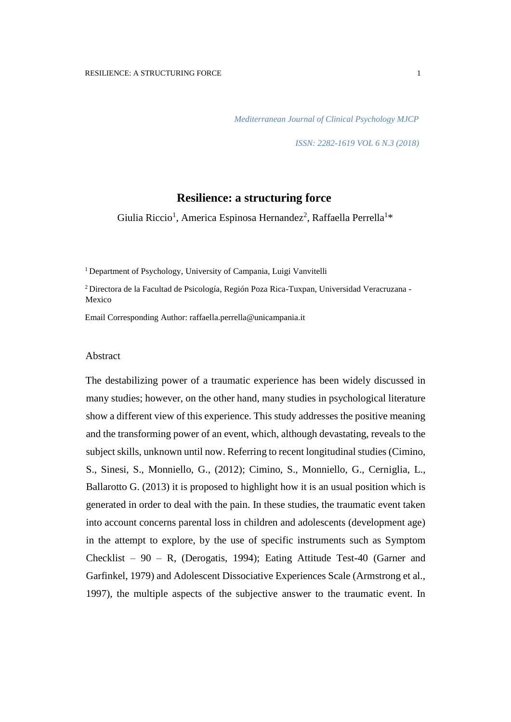*Mediterranean Journal of Clinical Psychology MJCP* 

*ISSN: 2282-1619 VOL 6 N.3 (2018)* 

# **Resilience: a structuring force**

Giulia Riccio<sup>1</sup>, America Espinosa Hernandez<sup>2</sup>, Raffaella Perrella<sup>1</sup>\*

<sup>1</sup> Department of Psychology, University of Campania, Luigi Vanvitelli

<sup>2</sup> Directora de la Facultad de Psicología, Región Poza Rica-Tuxpan, Universidad Veracruzana - Mexico

Email Corresponding Author: raffaella.perrella@unicampania.it

#### Abstract

The destabilizing power of a traumatic experience has been widely discussed in many studies; however, on the other hand, many studies in psychological literature show a different view of this experience. This study addresses the positive meaning and the transforming power of an event, which, although devastating, reveals to the subject skills, unknown until now. Referring to recent longitudinal studies (Cimino, S., Sinesi, S., Monniello, G., (2012); Cimino, S., Monniello, G., Cerniglia, L., Ballarotto G. (2013) it is proposed to highlight how it is an usual position which is generated in order to deal with the pain. In these studies, the traumatic event taken into account concerns parental loss in children and adolescents (development age) in the attempt to explore, by the use of specific instruments such as Symptom Checklist –  $90 - R$ , (Derogatis, 1994); Eating Attitude Test-40 (Garner and Garfinkel, 1979) and Adolescent Dissociative Experiences Scale (Armstrong et al., 1997), the multiple aspects of the subjective answer to the traumatic event. In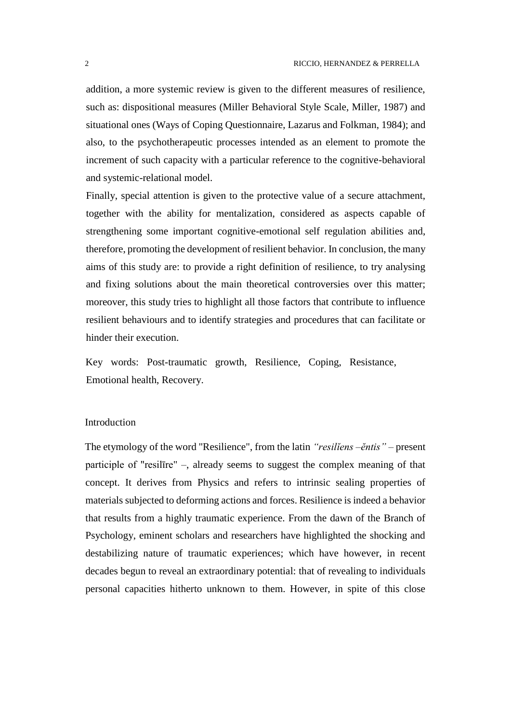addition, a more systemic review is given to the different measures of resilience, such as: dispositional measures (Miller Behavioral Style Scale, Miller, 1987) and situational ones (Ways of Coping Questionnaire, Lazarus and Folkman, 1984); and also, to the psychotherapeutic processes intended as an element to promote the increment of such capacity with a particular reference to the cognitive-behavioral and systemic-relational model.

Finally, special attention is given to the protective value of a secure attachment, together with the ability for mentalization, considered as aspects capable of strengthening some important cognitive-emotional self regulation abilities and, therefore, promoting the development of resilient behavior. In conclusion, the many aims of this study are: to provide a right definition of resilience, to try analysing and fixing solutions about the main theoretical controversies over this matter; moreover, this study tries to highlight all those factors that contribute to influence resilient behaviours and to identify strategies and procedures that can facilitate or hinder their execution.

Key words: Post-traumatic growth, Resilience, Coping, Resistance, Emotional health, Recovery.

### Introduction

The etymology of the word "Resilience", from the latin *"resilĭens –ĕntis" –* present participle of "resilīre" –, already seems to suggest the complex meaning of that concept. It derives from Physics and refers to intrinsic sealing properties of materials subjected to deforming actions and forces. Resilience is indeed a behavior that results from a highly traumatic experience. From the dawn of the Branch of Psychology, eminent scholars and researchers have highlighted the shocking and destabilizing nature of traumatic experiences; which have however, in recent decades begun to reveal an extraordinary potential: that of revealing to individuals personal capacities hitherto unknown to them. However, in spite of this close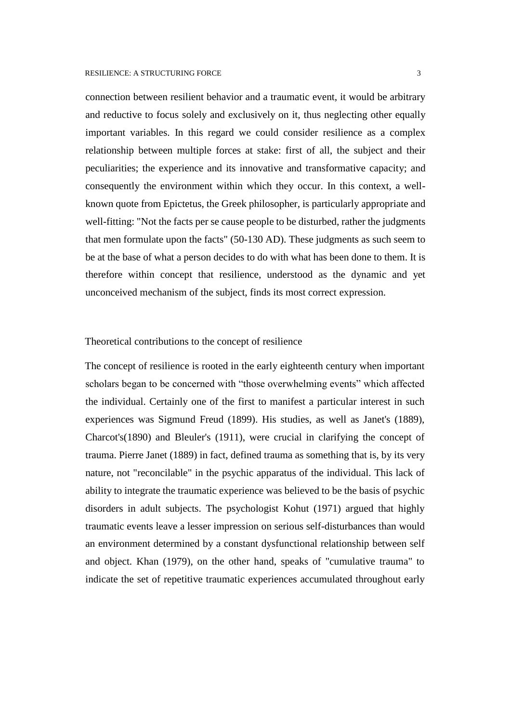connection between resilient behavior and a traumatic event, it would be arbitrary and reductive to focus solely and exclusively on it, thus neglecting other equally important variables. In this regard we could consider resilience as a complex relationship between multiple forces at stake: first of all, the subject and their peculiarities; the experience and its innovative and transformative capacity; and consequently the environment within which they occur. In this context, a wellknown quote from Epictetus, the Greek philosopher, is particularly appropriate and well-fitting: "Not the facts per se cause people to be disturbed, rather the judgments that men formulate upon the facts" (50-130 AD). These judgments as such seem to be at the base of what a person decides to do with what has been done to them. It is therefore within concept that resilience, understood as the dynamic and yet unconceived mechanism of the subject, finds its most correct expression.

### Theoretical contributions to the concept of resilience

The concept of resilience is rooted in the early eighteenth century when important scholars began to be concerned with "those overwhelming events" which affected the individual. Certainly one of the first to manifest a particular interest in such experiences was Sigmund Freud (1899). His studies, as well as Janet's (1889), Charcot's(1890) and Bleuler's (1911), were crucial in clarifying the concept of trauma. Pierre Janet (1889) in fact, defined trauma as something that is, by its very nature, not "reconcilable" in the psychic apparatus of the individual. This lack of ability to integrate the traumatic experience was believed to be the basis of psychic disorders in adult subjects. The psychologist Kohut (1971) argued that highly traumatic events leave a lesser impression on serious self-disturbances than would an environment determined by a constant dysfunctional relationship between self and object. Khan (1979), on the other hand, speaks of "cumulative trauma" to indicate the set of repetitive traumatic experiences accumulated throughout early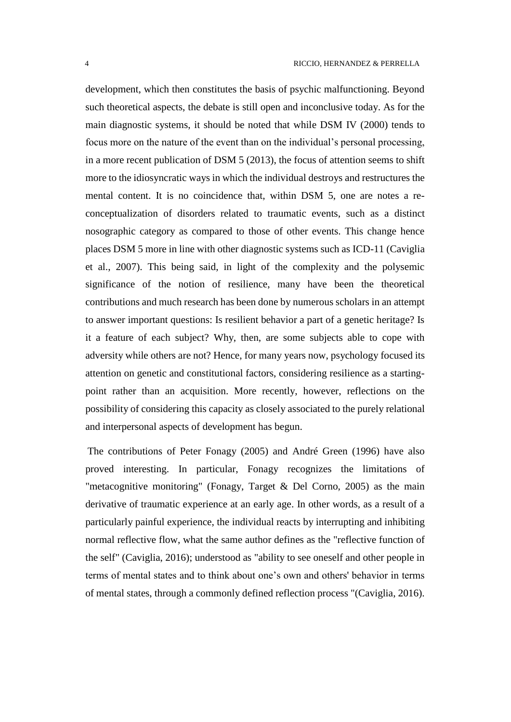development, which then constitutes the basis of psychic malfunctioning. Beyond such theoretical aspects, the debate is still open and inconclusive today. As for the main diagnostic systems, it should be noted that while DSM IV (2000) tends to focus more on the nature of the event than on the individual's personal processing, in a more recent publication of DSM 5 (2013), the focus of attention seems to shift more to the idiosyncratic ways in which the individual destroys and restructures the mental content. It is no coincidence that, within DSM 5, one are notes a reconceptualization of disorders related to traumatic events, such as a distinct nosographic category as compared to those of other events. This change hence places DSM 5 more in line with other diagnostic systems such as ICD-11 (Caviglia et al., 2007). This being said, in light of the complexity and the polysemic significance of the notion of resilience, many have been the theoretical contributions and much research has been done by numerous scholars in an attempt to answer important questions: Is resilient behavior a part of a genetic heritage? Is it a feature of each subject? Why, then, are some subjects able to cope with adversity while others are not? Hence, for many years now, psychology focused its attention on genetic and constitutional factors, considering resilience as a startingpoint rather than an acquisition. More recently, however, reflections on the possibility of considering this capacity as closely associated to the purely relational and interpersonal aspects of development has begun.

The contributions of Peter Fonagy (2005) and André Green (1996) have also proved interesting. In particular, Fonagy recognizes the limitations of "metacognitive monitoring" (Fonagy, Target & Del Corno, 2005) as the main derivative of traumatic experience at an early age. In other words, as a result of a particularly painful experience, the individual reacts by interrupting and inhibiting normal reflective flow, what the same author defines as the "reflective function of the self" (Caviglia, 2016); understood as "ability to see oneself and other people in terms of mental states and to think about one's own and others' behavior in terms of mental states, through a commonly defined reflection process "(Caviglia, 2016).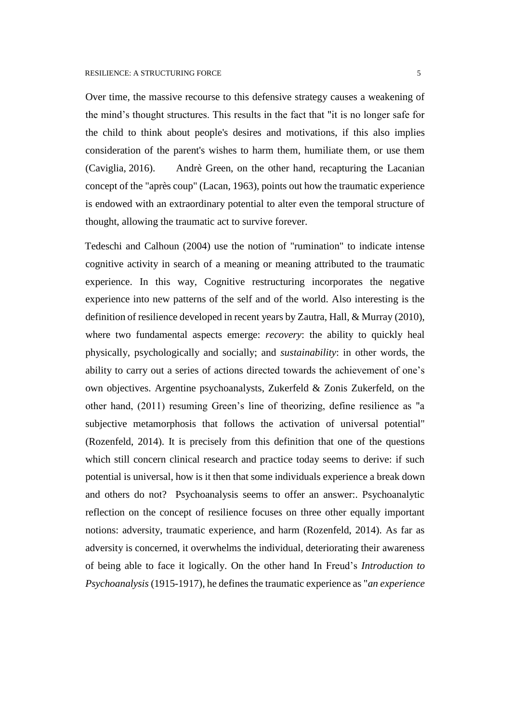Over time, the massive recourse to this defensive strategy causes a weakening of the mind's thought structures. This results in the fact that "it is no longer safe for the child to think about people's desires and motivations, if this also implies consideration of the parent's wishes to harm them, humiliate them, or use them (Caviglia, 2016). Andrè Green, on the other hand, recapturing the Lacanian concept of the "après coup" (Lacan, 1963), points out how the traumatic experience is endowed with an extraordinary potential to alter even the temporal structure of thought, allowing the traumatic act to survive forever.

Tedeschi and Calhoun (2004) use the notion of "rumination" to indicate intense cognitive activity in search of a meaning or meaning attributed to the traumatic experience. In this way, Cognitive restructuring incorporates the negative experience into new patterns of the self and of the world. Also interesting is the definition of resilience developed in recent years by Zautra, Hall, & Murray (2010), where two fundamental aspects emerge: *recovery*: the ability to quickly heal physically, psychologically and socially; and *sustainability*: in other words, the ability to carry out a series of actions directed towards the achievement of one's own objectives. Argentine psychoanalysts, Zukerfeld & Zonis Zukerfeld, on the other hand, (2011) resuming Green's line of theorizing, define resilience as "a subjective metamorphosis that follows the activation of universal potential" (Rozenfeld, 2014). It is precisely from this definition that one of the questions which still concern clinical research and practice today seems to derive: if such potential is universal, how is it then that some individuals experience a break down and others do not? Psychoanalysis seems to offer an answer:. Psychoanalytic reflection on the concept of resilience focuses on three other equally important notions: adversity, traumatic experience, and harm (Rozenfeld, 2014). As far as adversity is concerned, it overwhelms the individual, deteriorating their awareness of being able to face it logically. On the other hand In Freud's *Introduction to Psychoanalysis* (1915-1917), he defines the traumatic experience as "*an experience*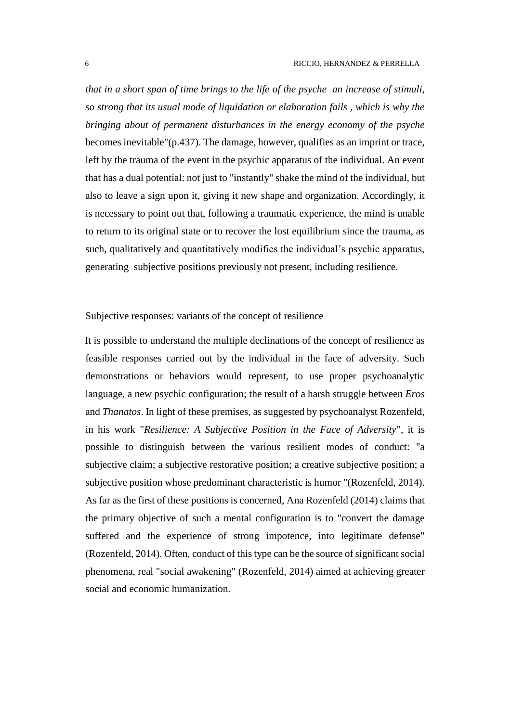*that in a short span of time brings to the life of the psyche an increase of stimuli, so strong that its usual mode of liquidation or elaboration fails , which is why the bringing about of permanent disturbances in the energy economy of the psyche* becomes inevitable"(p.437). The damage, however, qualifies as an imprint or trace, left by the trauma of the event in the psychic apparatus of the individual. An event that has a dual potential: not just to "instantly" shake the mind of the individual, but also to leave a sign upon it, giving it new shape and organization. Accordingly, it is necessary to point out that, following a traumatic experience, the mind is unable to return to its original state or to recover the lost equilibrium since the trauma, as such, qualitatively and quantitatively modifies the individual's psychic apparatus, generating subjective positions previously not present, including resilience.

Subjective responses: variants of the concept of resilience

It is possible to understand the multiple declinations of the concept of resilience as feasible responses carried out by the individual in the face of adversity. Such demonstrations or behaviors would represent, to use proper psychoanalytic language, a new psychic configuration; the result of a harsh struggle between *Eros* and *Thanatos*. In light of these premises, as suggested by psychoanalyst Rozenfeld, in his work "*Resilience: A Subjective Position in the Face of Adversity*", it is possible to distinguish between the various resilient modes of conduct: "a subjective claim; a subjective restorative position; a creative subjective position; a subjective position whose predominant characteristic is humor "(Rozenfeld, 2014). As far as the first of these positions is concerned, Ana Rozenfeld (2014) claims that the primary objective of such a mental configuration is to "convert the damage suffered and the experience of strong impotence, into legitimate defense" (Rozenfeld, 2014). Often, conduct of this type can be the source of significant social phenomena, real "social awakening" (Rozenfeld, 2014) aimed at achieving greater social and economic humanization.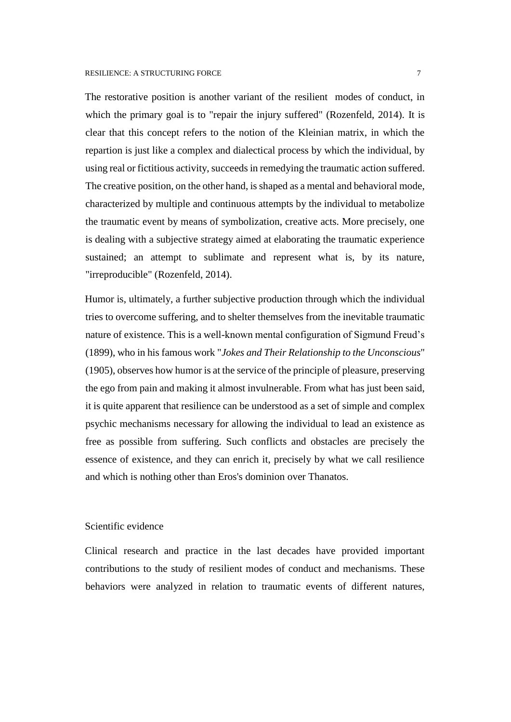The restorative position is another variant of the resilient modes of conduct, in which the primary goal is to "repair the injury suffered" (Rozenfeld, 2014). It is clear that this concept refers to the notion of the Kleinian matrix, in which the repartion is just like a complex and dialectical process by which the individual, by using real or fictitious activity, succeeds in remedying the traumatic action suffered. The creative position, on the other hand, is shaped as a mental and behavioral mode, characterized by multiple and continuous attempts by the individual to metabolize the traumatic event by means of symbolization, creative acts. More precisely, one is dealing with a subjective strategy aimed at elaborating the traumatic experience sustained; an attempt to sublimate and represent what is, by its nature, "irreproducible" (Rozenfeld, 2014).

Humor is, ultimately, a further subjective production through which the individual tries to overcome suffering, and to shelter themselves from the inevitable traumatic nature of existence. This is a well-known mental configuration of Sigmund Freud's (1899), who in his famous work "*Jokes and Their Relationship to the Unconscious*" (1905), observes how humor is at the service of the principle of pleasure, preserving the ego from pain and making it almost invulnerable. From what has just been said, it is quite apparent that resilience can be understood as a set of simple and complex psychic mechanisms necessary for allowing the individual to lead an existence as free as possible from suffering. Such conflicts and obstacles are precisely the essence of existence, and they can enrich it, precisely by what we call resilience and which is nothing other than Eros's dominion over Thanatos.

# Scientific evidence

Clinical research and practice in the last decades have provided important contributions to the study of resilient modes of conduct and mechanisms. These behaviors were analyzed in relation to traumatic events of different natures,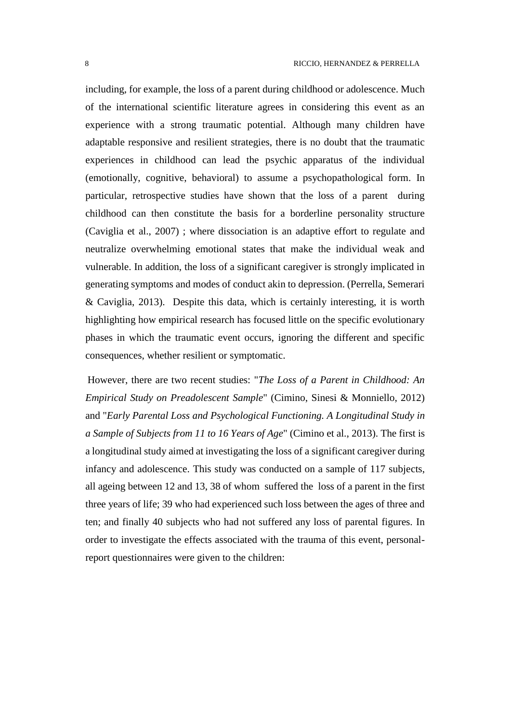including, for example, the loss of a parent during childhood or adolescence. Much of the international scientific literature agrees in considering this event as an experience with a strong traumatic potential. Although many children have adaptable responsive and resilient strategies, there is no doubt that the traumatic experiences in childhood can lead the psychic apparatus of the individual (emotionally, cognitive, behavioral) to assume a psychopathological form. In particular, retrospective studies have shown that the loss of a parent during childhood can then constitute the basis for a borderline personality structure (Caviglia et al., 2007) ; where dissociation is an adaptive effort to regulate and neutralize overwhelming emotional states that make the individual weak and vulnerable. In addition, the loss of a significant caregiver is strongly implicated in generating symptoms and modes of conduct akin to depression. (Perrella, Semerari & Caviglia, 2013). Despite this data, which is certainly interesting, it is worth highlighting how empirical research has focused little on the specific evolutionary phases in which the traumatic event occurs, ignoring the different and specific consequences, whether resilient or symptomatic.

However, there are two recent studies: "*The Loss of a Parent in Childhood: An Empirical Study on Preadolescent Sample*" (Cimino, Sinesi & Monniello, 2012) and "*Early Parental Loss and Psychological Functioning. A Longitudinal Study in a Sample of Subjects from 11 to 16 Years of Age*" (Cimino et al., 2013). The first is a longitudinal study aimed at investigating the loss of a significant caregiver during infancy and adolescence. This study was conducted on a sample of 117 subjects, all ageing between 12 and 13, 38 of whom suffered the loss of a parent in the first three years of life; 39 who had experienced such loss between the ages of three and ten; and finally 40 subjects who had not suffered any loss of parental figures. In order to investigate the effects associated with the trauma of this event, personalreport questionnaires were given to the children: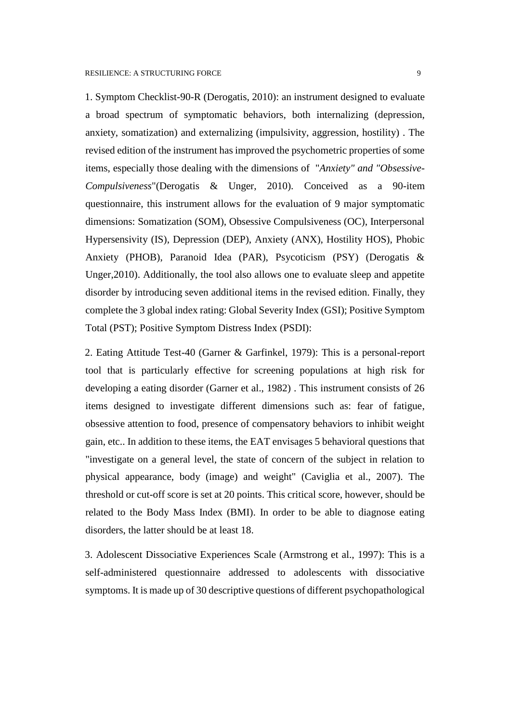1. Symptom Checklist-90-R (Derogatis, 2010): an instrument designed to evaluate a broad spectrum of symptomatic behaviors, both internalizing (depression, anxiety, somatization) and externalizing (impulsivity, aggression, hostility) . The revised edition of the instrument has improved the psychometric properties of some items, especially those dealing with the dimensions of "*Anxiety" and "Obsessive-Compulsiveness*"(Derogatis & Unger, 2010). Conceived as a 90-item questionnaire, this instrument allows for the evaluation of 9 major symptomatic dimensions: Somatization (SOM), Obsessive Compulsiveness (OC), Interpersonal Hypersensivity (IS), Depression (DEP), Anxiety (ANX), Hostility HOS), Phobic Anxiety (PHOB), Paranoid Idea (PAR), Psycoticism (PSY) (Derogatis & Unger,2010). Additionally, the tool also allows one to evaluate sleep and appetite disorder by introducing seven additional items in the revised edition. Finally, they complete the 3 global index rating: Global Severity Index (GSI); Positive Symptom Total (PST); Positive Symptom Distress Index (PSDI):

2. Eating Attitude Test-40 (Garner & Garfinkel, 1979): This is a personal-report tool that is particularly effective for screening populations at high risk for developing a eating disorder (Garner et al., 1982) . This instrument consists of 26 items designed to investigate different dimensions such as: fear of fatigue, obsessive attention to food, presence of compensatory behaviors to inhibit weight gain, etc.. In addition to these items, the EAT envisages 5 behavioral questions that "investigate on a general level, the state of concern of the subject in relation to physical appearance, body (image) and weight" (Caviglia et al., 2007). The threshold or cut-off score is set at 20 points. This critical score, however, should be related to the Body Mass Index (BMI). In order to be able to diagnose eating disorders, the latter should be at least 18.

3. Adolescent Dissociative Experiences Scale (Armstrong et al., 1997): This is a self-administered questionnaire addressed to adolescents with dissociative symptoms. It is made up of 30 descriptive questions of different psychopathological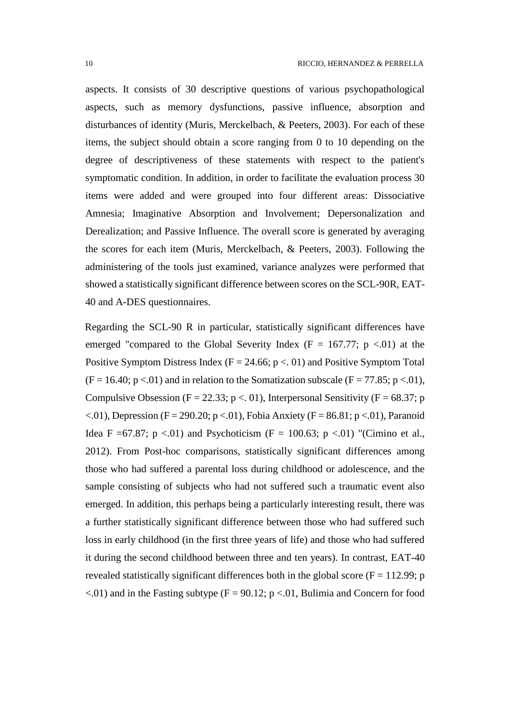aspects. It consists of 30 descriptive questions of various psychopathological aspects, such as memory dysfunctions, passive influence, absorption and disturbances of identity (Muris, Merckelbach, & Peeters, 2003). For each of these items, the subject should obtain a score ranging from 0 to 10 depending on the degree of descriptiveness of these statements with respect to the patient's symptomatic condition. In addition, in order to facilitate the evaluation process 30 items were added and were grouped into four different areas: Dissociative Amnesia; Imaginative Absorption and Involvement; Depersonalization and Derealization; and Passive Influence. The overall score is generated by averaging the scores for each item (Muris, Merckelbach, & Peeters, 2003). Following the administering of the tools just examined, variance analyzes were performed that showed a statistically significant difference between scores on the SCL-90R, EAT-40 and A-DES questionnaires.

Regarding the SCL-90 R in particular, statistically significant differences have emerged "compared to the Global Severity Index ( $F = 167.77$ ; p <.01) at the Positive Symptom Distress Index ( $F = 24.66$ ;  $p < 01$ ) and Positive Symptom Total  $(F = 16.40; p < 0.01)$  and in relation to the Somatization subscale  $(F = 77.85; p < 0.01)$ , Compulsive Obsession (F = 22.33; p <. 01), Interpersonal Sensitivity (F = 68.37; p  $\lt$ .01), Depression (F = 290.20; p $\lt$ .01), Fobia Anxiety (F = 86.81; p $\lt$ .01), Paranoid Idea F =67.87; p <.01) and Psychoticism (F = 100.63; p <.01) "(Cimino et al., 2012). From Post-hoc comparisons, statistically significant differences among those who had suffered a parental loss during childhood or adolescence, and the sample consisting of subjects who had not suffered such a traumatic event also emerged. In addition, this perhaps being a particularly interesting result, there was a further statistically significant difference between those who had suffered such loss in early childhood (in the first three years of life) and those who had suffered it during the second childhood between three and ten years). In contrast, EAT-40 revealed statistically significant differences both in the global score ( $F = 112.99$ ; p  $\langle 0.01 \rangle$  and in the Fasting subtype (F = 90.12; p  $\langle 0.01 \rangle$ , Bulimia and Concern for food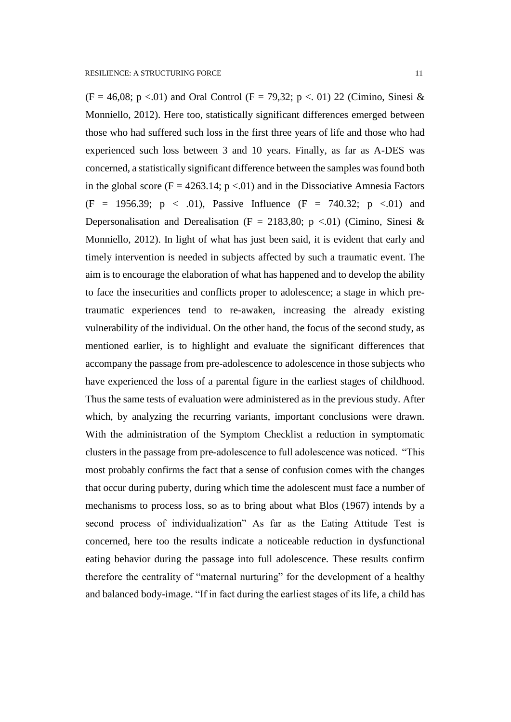$(F = 46,08; p < 01)$  and Oral Control  $(F = 79,32; p < 01)$  22 (Cimino, Sinesi & Monniello, 2012). Here too, statistically significant differences emerged between those who had suffered such loss in the first three years of life and those who had experienced such loss between 3 and 10 years. Finally, as far as A-DES was concerned, a statistically significant difference between the samples was found both in the global score ( $F = 4263.14$ ;  $p < 01$ ) and in the Dissociative Amnesia Factors  $(F = 1956.39; p < .01)$ , Passive Influence  $(F = 740.32; p < .01)$  and Depersonalisation and Derealisation (F = 2183,80; p <.01) (Cimino, Sinesi & Monniello, 2012). In light of what has just been said, it is evident that early and timely intervention is needed in subjects affected by such a traumatic event. The aim is to encourage the elaboration of what has happened and to develop the ability to face the insecurities and conflicts proper to adolescence; a stage in which pretraumatic experiences tend to re-awaken, increasing the already existing vulnerability of the individual. On the other hand, the focus of the second study, as mentioned earlier, is to highlight and evaluate the significant differences that accompany the passage from pre-adolescence to adolescence in those subjects who have experienced the loss of a parental figure in the earliest stages of childhood. Thus the same tests of evaluation were administered as in the previous study. After which, by analyzing the recurring variants, important conclusions were drawn. With the administration of the Symptom Checklist a reduction in symptomatic clusters in the passage from pre-adolescence to full adolescence was noticed. "This most probably confirms the fact that a sense of confusion comes with the changes that occur during puberty, during which time the adolescent must face a number of mechanisms to process loss, so as to bring about what Blos (1967) intends by a second process of individualization" As far as the Eating Attitude Test is concerned, here too the results indicate a noticeable reduction in dysfunctional eating behavior during the passage into full adolescence. These results confirm therefore the centrality of "maternal nurturing" for the development of a healthy and balanced body-image. "If in fact during the earliest stages of its life, a child has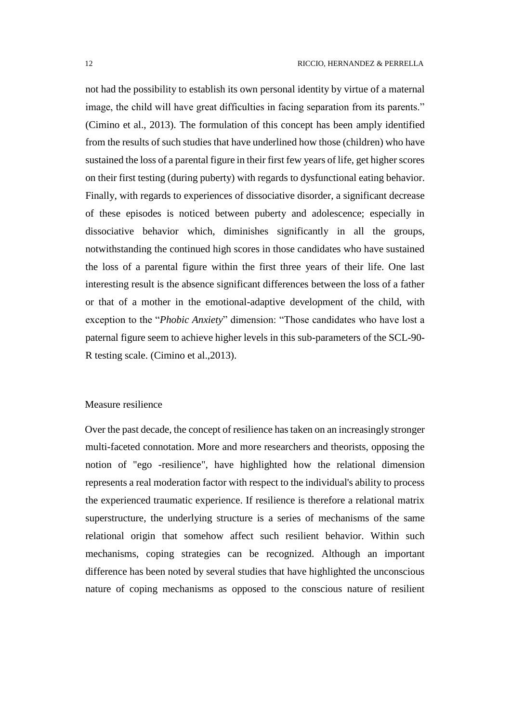not had the possibility to establish its own personal identity by virtue of a maternal image, the child will have great difficulties in facing separation from its parents." (Cimino et al., 2013). The formulation of this concept has been amply identified from the results of such studies that have underlined how those (children) who have sustained the loss of a parental figure in their first few years of life, get higher scores on their first testing (during puberty) with regards to dysfunctional eating behavior. Finally, with regards to experiences of dissociative disorder, a significant decrease of these episodes is noticed between puberty and adolescence; especially in dissociative behavior which, diminishes significantly in all the groups, notwithstanding the continued high scores in those candidates who have sustained the loss of a parental figure within the first three years of their life. One last interesting result is the absence significant differences between the loss of a father or that of a mother in the emotional-adaptive development of the child, with exception to the "*Phobic Anxiety*" dimension: "Those candidates who have lost a paternal figure seem to achieve higher levels in this sub-parameters of the SCL-90- R testing scale. (Cimino et al.,2013).

### Measure resilience

Over the past decade, the concept of resilience has taken on an increasingly stronger multi-faceted connotation. More and more researchers and theorists, opposing the notion of "ego -resilience", have highlighted how the relational dimension represents a real moderation factor with respect to the individual's ability to process the experienced traumatic experience. If resilience is therefore a relational matrix superstructure, the underlying structure is a series of mechanisms of the same relational origin that somehow affect such resilient behavior. Within such mechanisms, coping strategies can be recognized. Although an important difference has been noted by several studies that have highlighted the unconscious nature of coping mechanisms as opposed to the conscious nature of resilient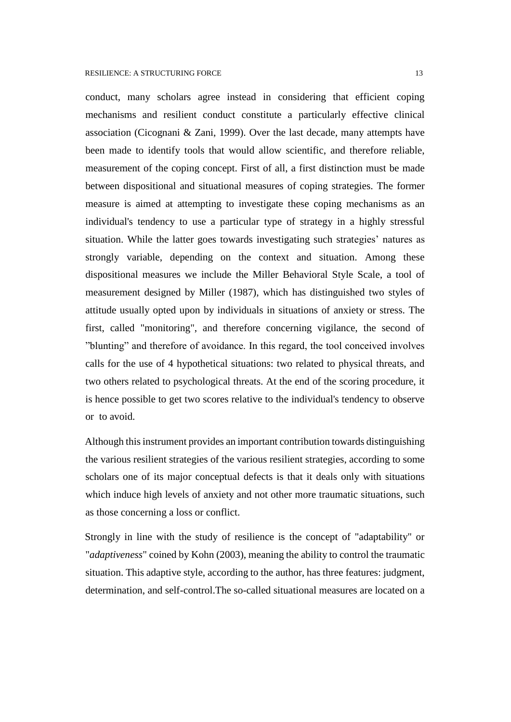conduct, many scholars agree instead in considering that efficient coping mechanisms and resilient conduct constitute a particularly effective clinical association (Cicognani & Zani, 1999). Over the last decade, many attempts have been made to identify tools that would allow scientific, and therefore reliable, measurement of the coping concept. First of all, a first distinction must be made between dispositional and situational measures of coping strategies. The former measure is aimed at attempting to investigate these coping mechanisms as an individual's tendency to use a particular type of strategy in a highly stressful situation. While the latter goes towards investigating such strategies' natures as strongly variable, depending on the context and situation. Among these dispositional measures we include the Miller Behavioral Style Scale, a tool of measurement designed by Miller (1987), which has distinguished two styles of attitude usually opted upon by individuals in situations of anxiety or stress. The first, called "monitoring", and therefore concerning vigilance, the second of "blunting" and therefore of avoidance. In this regard, the tool conceived involves calls for the use of 4 hypothetical situations: two related to physical threats, and two others related to psychological threats. At the end of the scoring procedure, it is hence possible to get two scores relative to the individual's tendency to observe or to avoid.

Although this instrument provides an important contribution towards distinguishing the various resilient strategies of the various resilient strategies, according to some scholars one of its major conceptual defects is that it deals only with situations which induce high levels of anxiety and not other more traumatic situations, such as those concerning a loss or conflict.

Strongly in line with the study of resilience is the concept of "adaptability" or "*adaptiveness*" coined by Kohn (2003), meaning the ability to control the traumatic situation. This adaptive style, according to the author, has three features: judgment, determination, and self-control.The so-called situational measures are located on a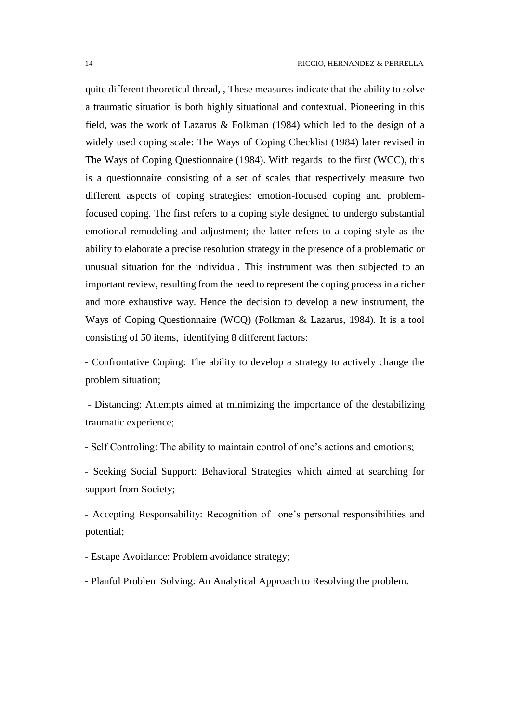quite different theoretical thread, , These measures indicate that the ability to solve a traumatic situation is both highly situational and contextual. Pioneering in this field, was the work of Lazarus & Folkman (1984) which led to the design of a widely used coping scale: The Ways of Coping Checklist (1984) later revised in The Ways of Coping Questionnaire (1984). With regards to the first (WCC), this is a questionnaire consisting of a set of scales that respectively measure two different aspects of coping strategies: emotion-focused coping and problemfocused coping. The first refers to a coping style designed to undergo substantial emotional remodeling and adjustment; the latter refers to a coping style as the ability to elaborate a precise resolution strategy in the presence of a problematic or unusual situation for the individual. This instrument was then subjected to an important review, resulting from the need to represent the coping process in a richer and more exhaustive way. Hence the decision to develop a new instrument, the Ways of Coping Questionnaire (WCQ) (Folkman & Lazarus, 1984). It is a tool consisting of 50 items, identifying 8 different factors:

- Confrontative Coping: The ability to develop a strategy to actively change the problem situation;

- Distancing: Attempts aimed at minimizing the importance of the destabilizing traumatic experience;

- Self Controling: The ability to maintain control of one's actions and emotions;

- Seeking Social Support: Behavioral Strategies which aimed at searching for support from Society;

- Accepting Responsability: Recognition of one's personal responsibilities and potential;

- Escape Avoidance: Problem avoidance strategy;

- Planful Problem Solving: An Analytical Approach to Resolving the problem.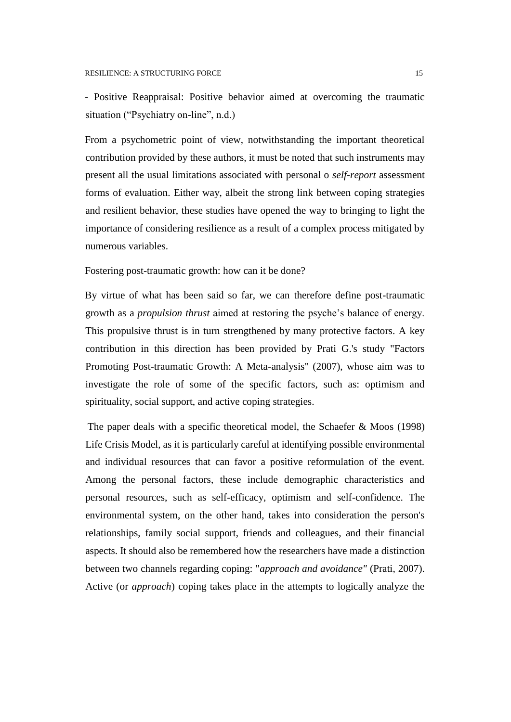- Positive Reappraisal: Positive behavior aimed at overcoming the traumatic situation ("Psychiatry on-line", n.d.)

From a psychometric point of view, notwithstanding the important theoretical contribution provided by these authors, it must be noted that such instruments may present all the usual limitations associated with personal o *self-report* assessment forms of evaluation. Either way, albeit the strong link between coping strategies and resilient behavior, these studies have opened the way to bringing to light the importance of considering resilience as a result of a complex process mitigated by numerous variables.

Fostering post-traumatic growth: how can it be done?

By virtue of what has been said so far, we can therefore define post-traumatic growth as a *propulsion thrust* aimed at restoring the psyche's balance of energy. This propulsive thrust is in turn strengthened by many protective factors. A key contribution in this direction has been provided by Prati G.'s study "Factors Promoting Post-traumatic Growth: A Meta-analysis" (2007), whose aim was to investigate the role of some of the specific factors, such as: optimism and spirituality, social support, and active coping strategies.

The paper deals with a specific theoretical model, the Schaefer & Moos (1998) Life Crisis Model, as it is particularly careful at identifying possible environmental and individual resources that can favor a positive reformulation of the event. Among the personal factors, these include demographic characteristics and personal resources, such as self-efficacy, optimism and self-confidence. The environmental system, on the other hand, takes into consideration the person's relationships, family social support, friends and colleagues, and their financial aspects. It should also be remembered how the researchers have made a distinction between two channels regarding coping: "*approach and avoidance"* (Prati, 2007). Active (or *approach*) coping takes place in the attempts to logically analyze the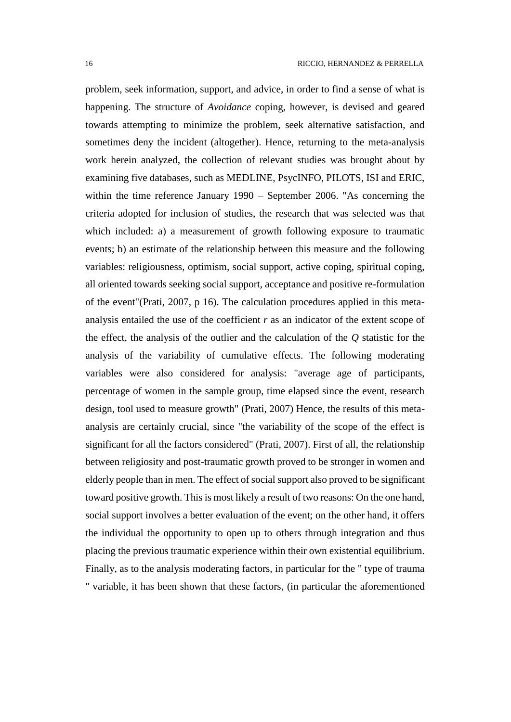problem, seek information, support, and advice, in order to find a sense of what is happening. The structure of *Avoidance* coping, however, is devised and geared towards attempting to minimize the problem, seek alternative satisfaction, and sometimes deny the incident (altogether). Hence, returning to the meta-analysis work herein analyzed, the collection of relevant studies was brought about by examining five databases, such as MEDLINE, PsycINFO, PILOTS, ISI and ERIC, within the time reference January 1990 – September 2006. "As concerning the criteria adopted for inclusion of studies, the research that was selected was that which included: a) a measurement of growth following exposure to traumatic events; b) an estimate of the relationship between this measure and the following variables: religiousness, optimism, social support, active coping, spiritual coping, all oriented towards seeking social support, acceptance and positive re-formulation of the event"(Prati, 2007, p 16). The calculation procedures applied in this metaanalysis entailed the use of the coefficient *r* as an indicator of the extent scope of the effect, the analysis of the outlier and the calculation of the *Q* statistic for the analysis of the variability of cumulative effects. The following moderating variables were also considered for analysis: "average age of participants, percentage of women in the sample group, time elapsed since the event, research design, tool used to measure growth" (Prati, 2007) Hence, the results of this metaanalysis are certainly crucial, since "the variability of the scope of the effect is significant for all the factors considered" (Prati, 2007). First of all, the relationship between religiosity and post-traumatic growth proved to be stronger in women and elderly people than in men. The effect of social support also proved to be significant toward positive growth. This is most likely a result of two reasons: On the one hand, social support involves a better evaluation of the event; on the other hand, it offers the individual the opportunity to open up to others through integration and thus placing the previous traumatic experience within their own existential equilibrium. Finally, as to the analysis moderating factors, in particular for the " type of trauma " variable, it has been shown that these factors, (in particular the aforementioned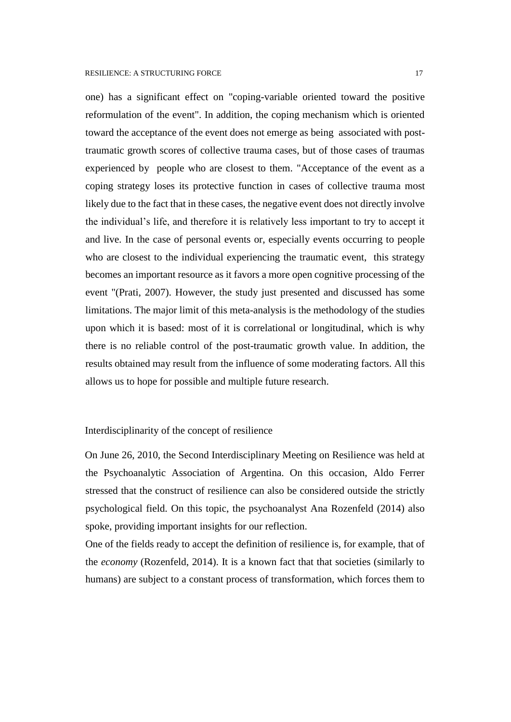one) has a significant effect on "coping-variable oriented toward the positive reformulation of the event". In addition, the coping mechanism which is oriented toward the acceptance of the event does not emerge as being associated with posttraumatic growth scores of collective trauma cases, but of those cases of traumas experienced by people who are closest to them. "Acceptance of the event as a coping strategy loses its protective function in cases of collective trauma most likely due to the fact that in these cases, the negative event does not directly involve the individual's life, and therefore it is relatively less important to try to accept it and live. In the case of personal events or, especially events occurring to people who are closest to the individual experiencing the traumatic event, this strategy becomes an important resource as it favors a more open cognitive processing of the event "(Prati, 2007). However, the study just presented and discussed has some limitations. The major limit of this meta-analysis is the methodology of the studies upon which it is based: most of it is correlational or longitudinal, which is why there is no reliable control of the post-traumatic growth value. In addition, the results obtained may result from the influence of some moderating factors. All this allows us to hope for possible and multiple future research.

### Interdisciplinarity of the concept of resilience

On June 26, 2010, the Second Interdisciplinary Meeting on Resilience was held at the Psychoanalytic Association of Argentina. On this occasion, Aldo Ferrer stressed that the construct of resilience can also be considered outside the strictly psychological field. On this topic, the psychoanalyst Ana Rozenfeld (2014) also spoke, providing important insights for our reflection.

One of the fields ready to accept the definition of resilience is, for example, that of the *economy* (Rozenfeld, 2014). It is a known fact that that societies (similarly to humans) are subject to a constant process of transformation, which forces them to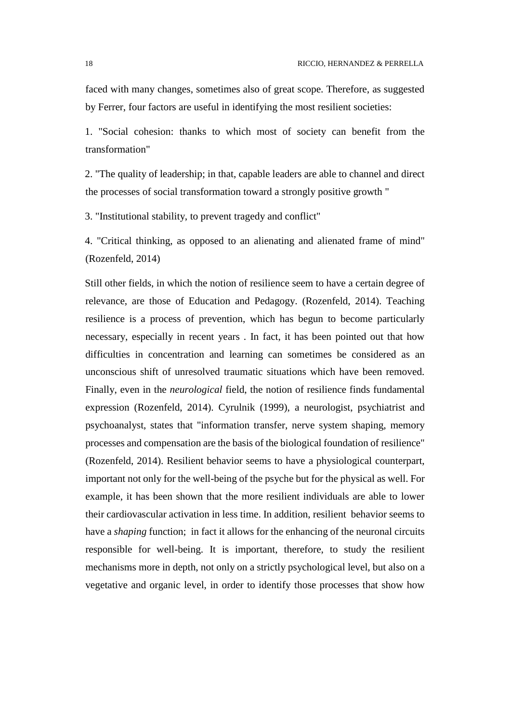faced with many changes, sometimes also of great scope. Therefore, as suggested by Ferrer, four factors are useful in identifying the most resilient societies:

1. "Social cohesion: thanks to which most of society can benefit from the transformation"

2. "The quality of leadership; in that, capable leaders are able to channel and direct the processes of social transformation toward a strongly positive growth "

3. "Institutional stability, to prevent tragedy and conflict"

4. "Critical thinking, as opposed to an alienating and alienated frame of mind" (Rozenfeld, 2014)

Still other fields, in which the notion of resilience seem to have a certain degree of relevance, are those of Education and Pedagogy. (Rozenfeld, 2014). Teaching resilience is a process of prevention, which has begun to become particularly necessary, especially in recent years . In fact, it has been pointed out that how difficulties in concentration and learning can sometimes be considered as an unconscious shift of unresolved traumatic situations which have been removed. Finally, even in the *neurological* field, the notion of resilience finds fundamental expression (Rozenfeld, 2014). Cyrulnik (1999), a neurologist, psychiatrist and psychoanalyst, states that "information transfer, nerve system shaping, memory processes and compensation are the basis of the biological foundation of resilience" (Rozenfeld, 2014). Resilient behavior seems to have a physiological counterpart, important not only for the well-being of the psyche but for the physical as well. For example, it has been shown that the more resilient individuals are able to lower their cardiovascular activation in less time. In addition, resilient behavior seems to have a *shaping* function; in fact it allows for the enhancing of the neuronal circuits responsible for well-being. It is important, therefore, to study the resilient mechanisms more in depth, not only on a strictly psychological level, but also on a vegetative and organic level, in order to identify those processes that show how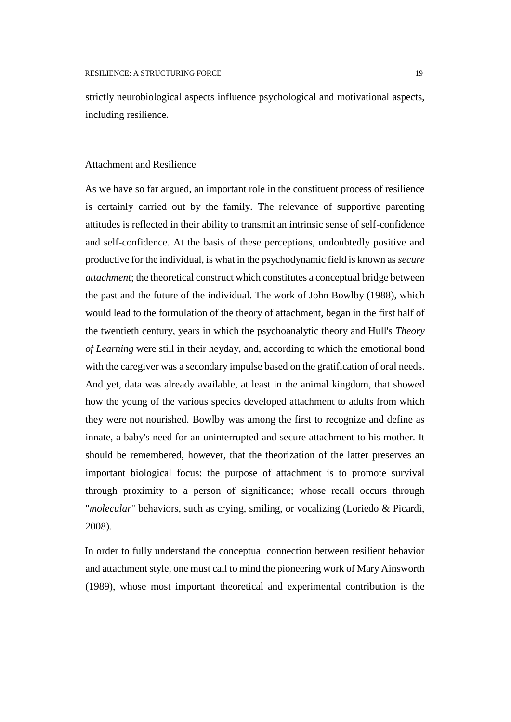strictly neurobiological aspects influence psychological and motivational aspects, including resilience.

# Attachment and Resilience

As we have so far argued, an important role in the constituent process of resilience is certainly carried out by the family. The relevance of supportive parenting attitudes is reflected in their ability to transmit an intrinsic sense of self-confidence and self-confidence. At the basis of these perceptions, undoubtedly positive and productive for the individual, is what in the psychodynamic field is known as *secure attachment*; the theoretical construct which constitutes a conceptual bridge between the past and the future of the individual. The work of John Bowlby (1988), which would lead to the formulation of the theory of attachment, began in the first half of the twentieth century, years in which the psychoanalytic theory and Hull's *Theory of Learning* were still in their heyday, and, according to which the emotional bond with the caregiver was a secondary impulse based on the gratification of oral needs. And yet, data was already available, at least in the animal kingdom, that showed how the young of the various species developed attachment to adults from which they were not nourished. Bowlby was among the first to recognize and define as innate, a baby's need for an uninterrupted and secure attachment to his mother. It should be remembered, however, that the theorization of the latter preserves an important biological focus: the purpose of attachment is to promote survival through proximity to a person of significance; whose recall occurs through "*molecular*" behaviors, such as crying, smiling, or vocalizing (Loriedo & Picardi, 2008).

In order to fully understand the conceptual connection between resilient behavior and attachment style, one must call to mind the pioneering work of Mary Ainsworth (1989), whose most important theoretical and experimental contribution is the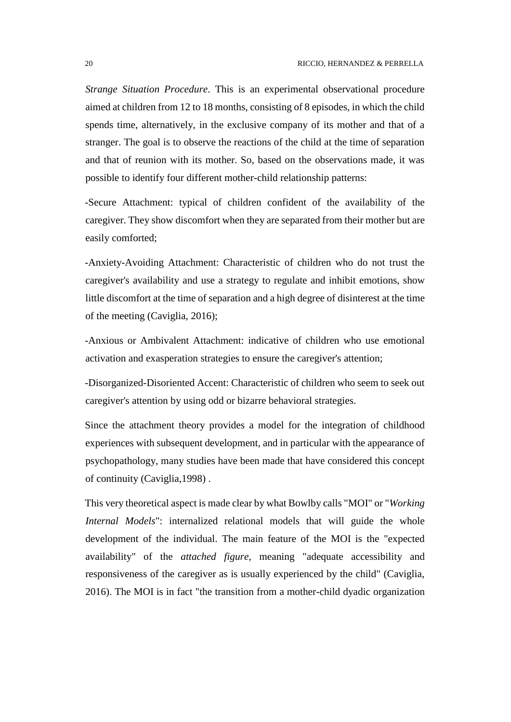*Strange Situation Procedure*. This is an experimental observational procedure aimed at children from 12 to 18 months, consisting of 8 episodes, in which the child spends time, alternatively, in the exclusive company of its mother and that of a stranger. The goal is to observe the reactions of the child at the time of separation and that of reunion with its mother. So, based on the observations made, it was possible to identify four different mother-child relationship patterns:

-Secure Attachment: typical of children confident of the availability of the caregiver. They show discomfort when they are separated from their mother but are easily comforted;

-Anxiety-Avoiding Attachment: Characteristic of children who do not trust the caregiver's availability and use a strategy to regulate and inhibit emotions, show little discomfort at the time of separation and a high degree of disinterest at the time of the meeting (Caviglia, 2016);

-Anxious or Ambivalent Attachment: indicative of children who use emotional activation and exasperation strategies to ensure the caregiver's attention;

-Disorganized-Disoriented Accent: Characteristic of children who seem to seek out caregiver's attention by using odd or bizarre behavioral strategies.

Since the attachment theory provides a model for the integration of childhood experiences with subsequent development, and in particular with the appearance of psychopathology, many studies have been made that have considered this concept of continuity (Caviglia,1998) .

This very theoretical aspect is made clear by what Bowlby calls "MOI" or "*Working Internal Models*": internalized relational models that will guide the whole development of the individual. The main feature of the MOI is the "expected availability" of the *attached figure*, meaning "adequate accessibility and responsiveness of the caregiver as is usually experienced by the child" (Caviglia, 2016). The MOI is in fact "the transition from a mother-child dyadic organization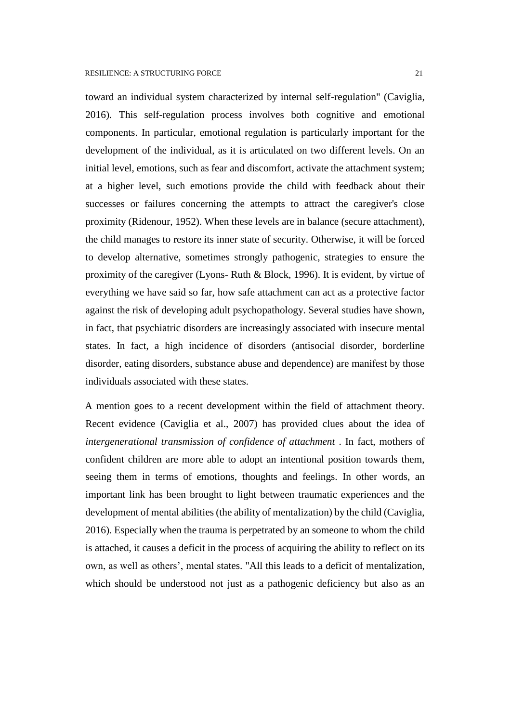toward an individual system characterized by internal self-regulation" (Caviglia, 2016). This self-regulation process involves both cognitive and emotional components. In particular, emotional regulation is particularly important for the development of the individual, as it is articulated on two different levels. On an initial level, emotions, such as fear and discomfort, activate the attachment system; at a higher level, such emotions provide the child with feedback about their successes or failures concerning the attempts to attract the caregiver's close proximity (Ridenour, 1952). When these levels are in balance (secure attachment), the child manages to restore its inner state of security. Otherwise, it will be forced to develop alternative, sometimes strongly pathogenic, strategies to ensure the proximity of the caregiver (Lyons- Ruth & Block, 1996). It is evident, by virtue of everything we have said so far, how safe attachment can act as a protective factor against the risk of developing adult psychopathology. Several studies have shown, in fact, that psychiatric disorders are increasingly associated with insecure mental states. In fact, a high incidence of disorders (antisocial disorder, borderline disorder, eating disorders, substance abuse and dependence) are manifest by those individuals associated with these states.

A mention goes to a recent development within the field of attachment theory. Recent evidence (Caviglia et al., 2007) has provided clues about the idea of *intergenerational transmission of confidence of attachment* . In fact, mothers of confident children are more able to adopt an intentional position towards them, seeing them in terms of emotions, thoughts and feelings. In other words, an important link has been brought to light between traumatic experiences and the development of mental abilities (the ability of mentalization) by the child (Caviglia, 2016). Especially when the trauma is perpetrated by an someone to whom the child is attached, it causes a deficit in the process of acquiring the ability to reflect on its own, as well as others', mental states. "All this leads to a deficit of mentalization, which should be understood not just as a pathogenic deficiency but also as an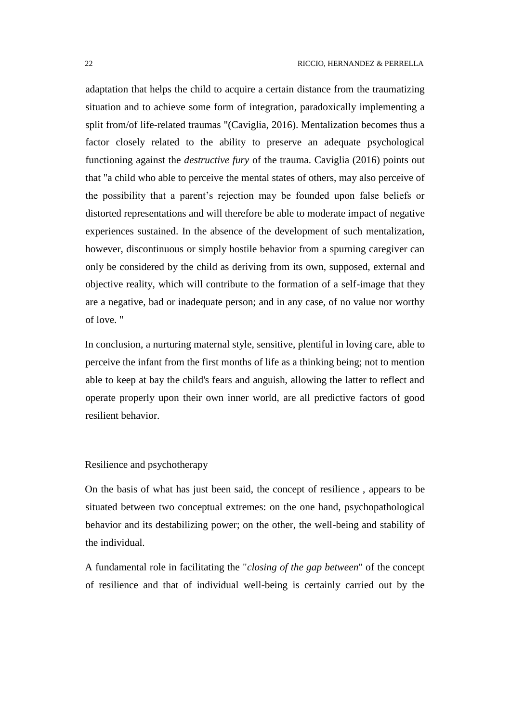adaptation that helps the child to acquire a certain distance from the traumatizing situation and to achieve some form of integration, paradoxically implementing a split from/of life-related traumas "(Caviglia, 2016). Mentalization becomes thus a factor closely related to the ability to preserve an adequate psychological functioning against the *destructive fury* of the trauma. Caviglia (2016) points out that "a child who able to perceive the mental states of others, may also perceive of the possibility that a parent's rejection may be founded upon false beliefs or distorted representations and will therefore be able to moderate impact of negative experiences sustained. In the absence of the development of such mentalization, however, discontinuous or simply hostile behavior from a spurning caregiver can only be considered by the child as deriving from its own, supposed, external and objective reality, which will contribute to the formation of a self-image that they are a negative, bad or inadequate person; and in any case, of no value nor worthy of love. "

In conclusion, a nurturing maternal style, sensitive, plentiful in loving care, able to perceive the infant from the first months of life as a thinking being; not to mention able to keep at bay the child's fears and anguish, allowing the latter to reflect and operate properly upon their own inner world, are all predictive factors of good resilient behavior.

Resilience and psychotherapy

On the basis of what has just been said, the concept of resilience , appears to be situated between two conceptual extremes: on the one hand, psychopathological behavior and its destabilizing power; on the other, the well-being and stability of the individual.

A fundamental role in facilitating the "*closing of the gap between*" of the concept of resilience and that of individual well-being is certainly carried out by the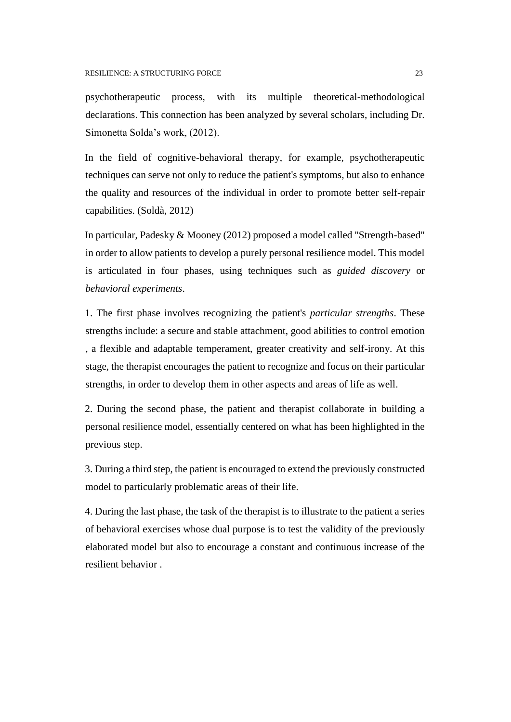psychotherapeutic process, with its multiple theoretical-methodological declarations. This connection has been analyzed by several scholars, including Dr. Simonetta Solda's work, (2012).

In the field of cognitive-behavioral therapy, for example, psychotherapeutic techniques can serve not only to reduce the patient's symptoms, but also to enhance the quality and resources of the individual in order to promote better self-repair capabilities. (Soldà, 2012)

In particular, Padesky & Mooney (2012) proposed a model called "Strength-based" in order to allow patients to develop a purely personal resilience model. This model is articulated in four phases, using techniques such as *guided discovery* or *behavioral experiments*.

1. The first phase involves recognizing the patient's *particular strengths*. These strengths include: a secure and stable attachment, good abilities to control emotion , a flexible and adaptable temperament, greater creativity and self-irony. At this stage, the therapist encourages the patient to recognize and focus on their particular strengths, in order to develop them in other aspects and areas of life as well.

2. During the second phase, the patient and therapist collaborate in building a personal resilience model, essentially centered on what has been highlighted in the previous step.

3. During a third step, the patient is encouraged to extend the previously constructed model to particularly problematic areas of their life.

4. During the last phase, the task of the therapist is to illustrate to the patient a series of behavioral exercises whose dual purpose is to test the validity of the previously elaborated model but also to encourage a constant and continuous increase of the resilient behavior .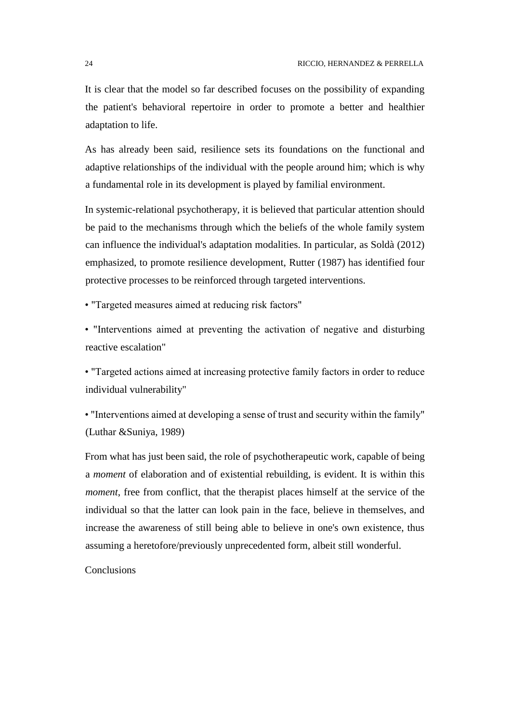It is clear that the model so far described focuses on the possibility of expanding the patient's behavioral repertoire in order to promote a better and healthier adaptation to life.

As has already been said, resilience sets its foundations on the functional and adaptive relationships of the individual with the people around him; which is why a fundamental role in its development is played by familial environment.

In systemic-relational psychotherapy, it is believed that particular attention should be paid to the mechanisms through which the beliefs of the whole family system can influence the individual's adaptation modalities. In particular, as Soldà (2012) emphasized, to promote resilience development, Rutter (1987) has identified four protective processes to be reinforced through targeted interventions.

• "Targeted measures aimed at reducing risk factors"

• "Interventions aimed at preventing the activation of negative and disturbing reactive escalation"

• "Targeted actions aimed at increasing protective family factors in order to reduce individual vulnerability"

• "Interventions aimed at developing a sense of trust and security within the family" (Luthar &Suniya, 1989)

From what has just been said, the role of psychotherapeutic work, capable of being a *moment* of elaboration and of existential rebuilding, is evident. It is within this *moment*, free from conflict, that the therapist places himself at the service of the individual so that the latter can look pain in the face, believe in themselves, and increase the awareness of still being able to believe in one's own existence, thus assuming a heretofore/previously unprecedented form, albeit still wonderful.

**Conclusions**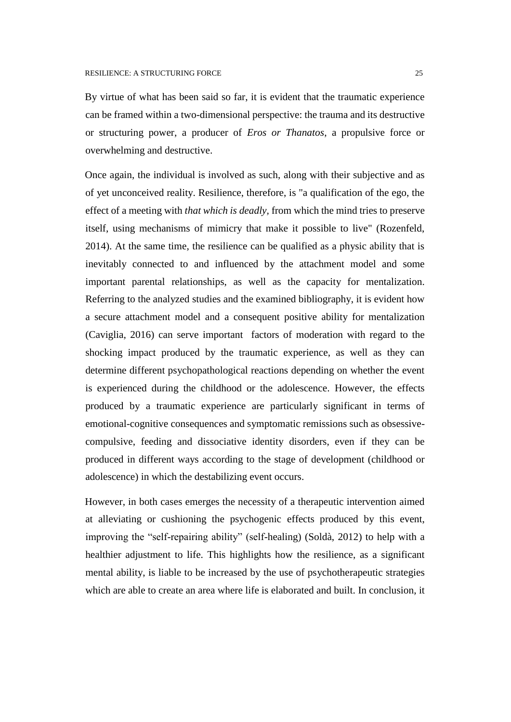By virtue of what has been said so far, it is evident that the traumatic experience can be framed within a two-dimensional perspective: the trauma and its destructive or structuring power, a producer of *Eros or Thanatos*, a propulsive force or overwhelming and destructive.

Once again, the individual is involved as such, along with their subjective and as of yet unconceived reality. Resilience, therefore, is "a qualification of the ego, the effect of a meeting with *that which is deadly,* from which the mind tries to preserve itself, using mechanisms of mimicry that make it possible to live" (Rozenfeld, 2014). At the same time, the resilience can be qualified as a physic ability that is inevitably connected to and influenced by the attachment model and some important parental relationships, as well as the capacity for mentalization. Referring to the analyzed studies and the examined bibliography, it is evident how a secure attachment model and a consequent positive ability for mentalization (Caviglia, 2016) can serve important factors of moderation with regard to the shocking impact produced by the traumatic experience, as well as they can determine different psychopathological reactions depending on whether the event is experienced during the childhood or the adolescence. However, the effects produced by a traumatic experience are particularly significant in terms of emotional-cognitive consequences and symptomatic remissions such as obsessivecompulsive, feeding and dissociative identity disorders, even if they can be produced in different ways according to the stage of development (childhood or adolescence) in which the destabilizing event occurs.

However, in both cases emerges the necessity of a therapeutic intervention aimed at alleviating or cushioning the psychogenic effects produced by this event, improving the "self-repairing ability" (self-healing) (Soldà, 2012) to help with a healthier adjustment to life. This highlights how the resilience, as a significant mental ability, is liable to be increased by the use of psychotherapeutic strategies which are able to create an area where life is elaborated and built. In conclusion, it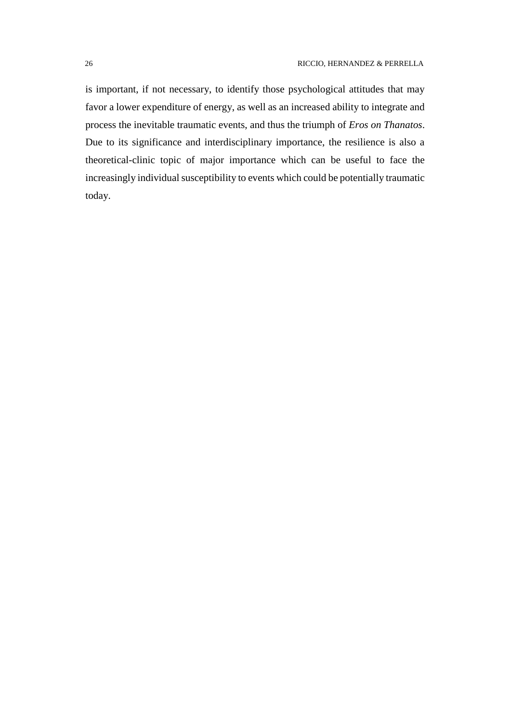is important, if not necessary, to identify those psychological attitudes that may favor a lower expenditure of energy, as well as an increased ability to integrate and process the inevitable traumatic events, and thus the triumph of *Eros on Thanatos*. Due to its significance and interdisciplinary importance, the resilience is also a theoretical-clinic topic of major importance which can be useful to face the increasingly individual susceptibility to events which could be potentially traumatic today.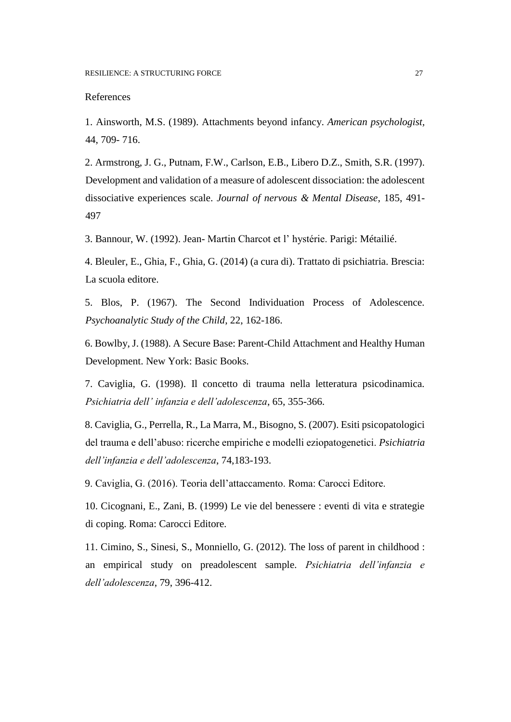#### References

1. Ainsworth, M.S. (1989). Attachments beyond infancy. *American psychologist,* 44, 709- 716.

2. Armstrong, J. G., Putnam, F.W., Carlson, E.B., Libero D.Z., Smith, S.R. (1997). Development and validation of a measure of adolescent dissociation: the adolescent dissociative experiences scale. *Journal of nervous & Mental Disease*, 185, 491- 497

3. Bannour, W. (1992). Jean- Martin Charcot et l' hystérie. Parigi: Métailié.

4. Bleuler, E., Ghia, F., Ghia, G. (2014) (a cura di). Trattato di psichiatria. Brescia: La scuola editore.

5. Blos, P. (1967). The Second Individuation Process of Adolescence. *Psychoanalytic Study of the Child*, 22, 162-186.

6. Bowlby, J. (1988). A Secure Base: Parent-Child Attachment and Healthy Human Development. New York: Basic Books.

7. Caviglia, G. (1998). Il concetto di trauma nella letteratura psicodinamica. *Psichiatria dell' infanzia e dell'adolescenza*, 65, 355-366.

8. Caviglia, G., Perrella, R., La Marra, M., Bisogno, S. (2007). Esiti psicopatologici del trauma e dell'abuso: ricerche empiriche e modelli eziopatogenetici. *Psichiatria dell'infanzia e dell'adolescenza*, 74,183-193.

9. Caviglia, G. (2016). Teoria dell'attaccamento. Roma: Carocci Editore.

10. Cicognani, E., Zani, B. (1999) Le vie del benessere : eventi di vita e strategie di coping. Roma: Carocci Editore.

11. Cimino, S., Sinesi, S., Monniello, G. (2012). The loss of parent in childhood : an empirical study on preadolescent sample. *Psichiatria dell'infanzia e dell'adolescenza*, 79, 396-412.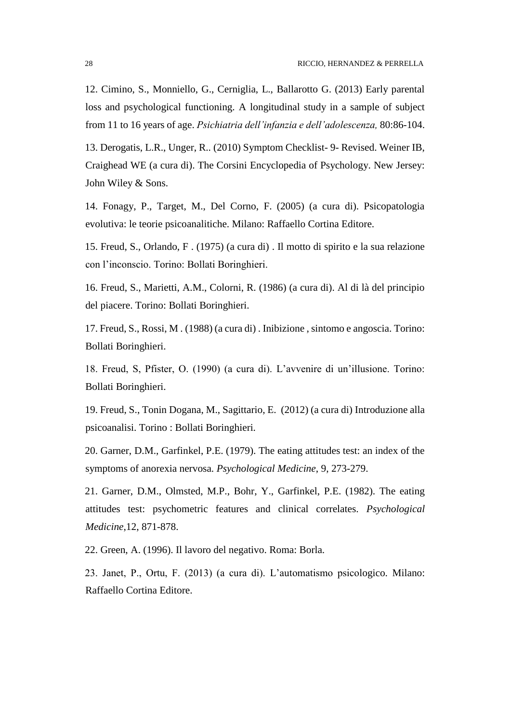12. Cimino, S., Monniello, G., Cerniglia, L., Ballarotto G. (2013) Early parental loss and psychological functioning. A longitudinal study in a sample of subject from 11 to 16 years of age. *Psichiatria dell'infanzia e dell'adolescenza,* 80:86-104.

13. Derogatis, L.R., Unger, R.. (2010) Symptom Checklist- 9- Revised. Weiner IB, Craighead WE (a cura di). The Corsini Encyclopedia of Psychology. New Jersey: John Wiley & Sons.

14. Fonagy, P., Target, M., Del Corno, F. (2005) (a cura di). Psicopatologia evolutiva: le teorie psicoanalitiche. Milano: Raffaello Cortina Editore.

15. Freud, S., Orlando, F . (1975) (a cura di) . Il motto di spirito e la sua relazione con l'inconscio. Torino: Bollati Boringhieri.

16. Freud, S., Marietti, A.M., Colorni, R. (1986) (a cura di). Al di là del principio del piacere. Torino: Bollati Boringhieri.

17. Freud, S., Rossi, M . (1988) (a cura di) . Inibizione , sintomo e angoscia. Torino: Bollati Boringhieri.

18. Freud, S, Pfister, O. (1990) (a cura di). L'avvenire di un'illusione. Torino: Bollati Boringhieri.

19. Freud, S., Tonin Dogana, M., Sagittario, E. (2012) (a cura di) Introduzione alla psicoanalisi. Torino : Bollati Boringhieri.

20. Garner, D.M., Garfinkel, P.E. (1979). The eating attitudes test: an index of the symptoms of anorexia nervosa. *Psychological Medicine*, 9, 273-279.

21. Garner, D.M., Olmsted, M.P., Bohr, Y., Garfinkel, P.E. (1982). The eating attitudes test: psychometric features and clinical correlates. *Psychological Medicine*,12, 871-878.

22. Green, A. (1996). Il lavoro del negativo. Roma: Borla.

23. Janet, P., Ortu, F. (2013) (a cura di). L'automatismo psicologico. Milano: Raffaello Cortina Editore.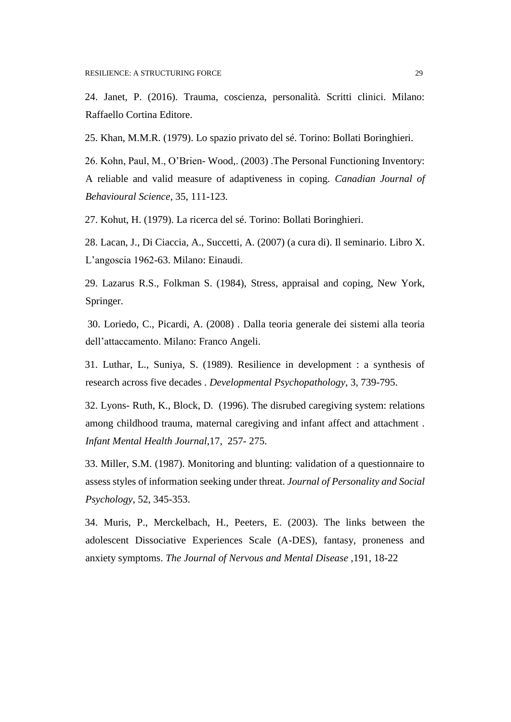24. Janet, P. (2016). Trauma, coscienza, personalità. Scritti clinici. Milano: Raffaello Cortina Editore.

25. Khan, M.M.R. (1979). Lo spazio privato del sé. Torino: Bollati Boringhieri.

26. Kohn, Paul, M., O'Brien- Wood,. (2003) .The Personal Functioning Inventory: A reliable and valid measure of adaptiveness in coping. *Canadian Journal of Behavioural Science*, 35, 111-123.

27. Kohut, H. (1979). La ricerca del sé. Torino: Bollati Boringhieri.

28. Lacan, J., Di Ciaccia, A., Succetti, A. (2007) (a cura di). Il seminario. Libro X. L'angoscia 1962-63. Milano: Einaudi.

29. Lazarus R.S., Folkman S. (1984), Stress, appraisal and coping, New York, Springer.

30. Loriedo, C., Picardi, A. (2008) . Dalla teoria generale dei sistemi alla teoria dell'attaccamento. Milano: Franco Angeli.

31. Luthar, L., Suniya, S. (1989). Resilience in development : a synthesis of research across five decades . *Developmental Psychopathology*, 3, 739-795.

32. Lyons- Ruth, K., Block, D. (1996). The disrubed caregiving system: relations among childhood trauma, maternal caregiving and infant affect and attachment *. Infant Mental Health Journal*,17, 257- 275.

33. Miller, S.M. (1987). Monitoring and blunting: validation of a questionnaire to assess styles of information seeking under threat. *Journal of Personality and Social Psychology*, 52, 345-353.

34. Muris, P., Merckelbach, H., Peeters, E. (2003). The links between the adolescent Dissociative Experiences Scale (A-DES), fantasy, proneness and anxiety symptoms. *The Journal of Nervous and Mental Disease* ,191, 18-22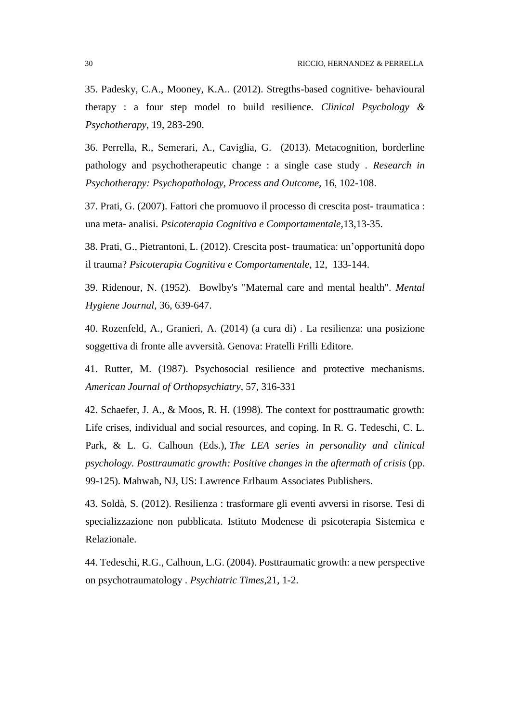35. Padesky, C.A., Mooney, K.A.. (2012). Stregths-based cognitive- behavioural therapy : a four step model to build resilience. *Clinical Psychology & Psychotherapy*, 19, 283-290.

36. Perrella, R., Semerari, A., Caviglia, G. (2013). Metacognition, borderline pathology and psychotherapeutic change : a single case study . *Research in Psychotherapy: Psychopathology, Process and Outcome,* 16, 102-108.

37. Prati, G. (2007). Fattori che promuovo il processo di crescita post- traumatica : una meta- analisi. *Psicoterapia Cognitiva e Comportamentale,*13,13-35.

38. Prati, G., Pietrantoni, L. (2012). Crescita post- traumatica: un'opportunità dopo il trauma? *Psicoterapia Cognitiva e Comportamentale*, 12, 133-144.

39. Ridenour, N. (1952). Bowlby's "Maternal care and mental health". *Mental Hygiene Journal*, 36, 639-647.

40. Rozenfeld, A., Granieri, A. (2014) (a cura di) . La resilienza: una posizione soggettiva di fronte alle avversità. Genova: Fratelli Frilli Editore.

41. Rutter, M. (1987). Psychosocial resilience and protective mechanisms. *American Journal of Orthopsychiatry*, 57, 316-331

42. Schaefer, J. A., & Moos, R. H. (1998). The context for posttraumatic growth: Life crises, individual and social resources, and coping. In R. G. Tedeschi, C. L. Park, & L. G. Calhoun (Eds.), *The LEA series in personality and clinical psychology. Posttraumatic growth: Positive changes in the aftermath of crisis* (pp. 99-125). Mahwah, NJ, US: Lawrence Erlbaum Associates Publishers.

43. Soldà, S. (2012). Resilienza : trasformare gli eventi avversi in risorse. Tesi di specializzazione non pubblicata. Istituto Modenese di psicoterapia Sistemica e Relazionale.

44. Tedeschi, R.G., Calhoun, L.G. (2004). Posttraumatic growth: a new perspective on psychotraumatology . *Psychiatric Times*,21, 1-2.